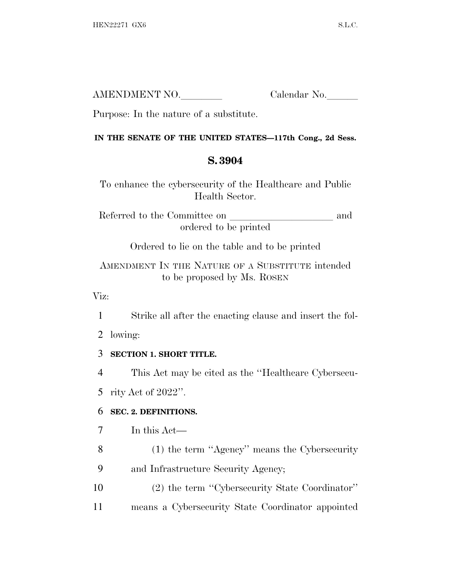| AMENDMENT NO. | Calendar No. |
|---------------|--------------|
|               |              |

Purpose: In the nature of a substitute.

#### **IN THE SENATE OF THE UNITED STATES—117th Cong., 2d Sess.**

# **S. 3904**

To enhance the cybersecurity of the Healthcare and Public Health Sector.

Referred to the Committee on and ordered to be printed

Ordered to lie on the table and to be printed

AMENDMENT IN THE NATURE OF A SUBSTITUTE intended to be proposed by Ms. ROSEN

Viz:

1 Strike all after the enacting clause and insert the fol-

2 lowing:

# 3 **SECTION 1. SHORT TITLE.**

4 This Act may be cited as the ''Healthcare Cybersecu-

5 rity Act of 2022''.

# 6 **SEC. 2. DEFINITIONS.**

7 In this Act—

8 (1) the term ''Agency'' means the Cybersecurity 9 and Infrastructure Security Agency;

10 (2) the term ''Cybersecurity State Coordinator'' 11 means a Cybersecurity State Coordinator appointed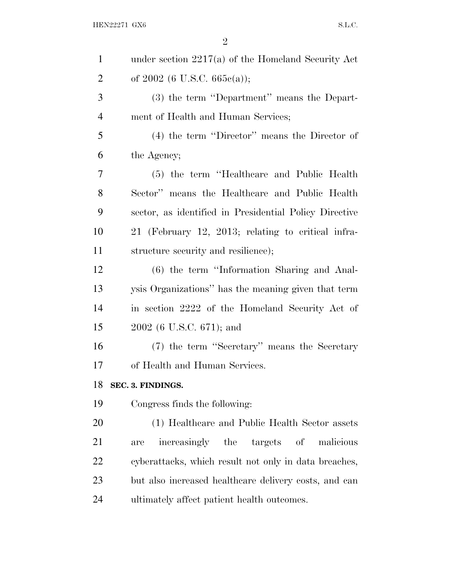| $\mathbf{1}$   | under section $2217(a)$ of the Homeland Security Act   |
|----------------|--------------------------------------------------------|
| $\overline{2}$ | of $2002$ (6 U.S.C. 665 $e$ (a));                      |
| 3              | (3) the term "Department" means the Depart-            |
| $\overline{4}$ | ment of Health and Human Services;                     |
| 5              | $(4)$ the term "Director" means the Director of        |
| 6              | the Agency;                                            |
| 7              | (5) the term "Healthcare and Public Health"            |
| 8              | Sector" means the Healthcare and Public Health         |
| 9              | sector, as identified in Presidential Policy Directive |
| 10             | 21 (February 12, 2013; relating to critical infra-     |
| 11             | structure security and resilience);                    |
| 12             | (6) the term "Information Sharing and Anal-            |
| 13             | ysis Organizations" has the meaning given that term    |
| 14             | in section 2222 of the Homeland Security Act of        |
| 15             | 2002 (6 U.S.C. 671); and                               |
| 16             | (7) the term "Secretary" means the Secretary           |
| 17             | of Health and Human Services.                          |
| 18             | SEC. 3. FINDINGS.                                      |
| 19             | Congress finds the following:                          |
| 20             | (1) Healthcare and Public Health Sector assets         |
| 21             | targets of<br>increasingly the<br>malicious<br>are     |
| 22             | cyberattacks, which result not only in data breaches,  |
| 23             | but also increased healthcare delivery costs, and can  |
| 24             | ultimately affect patient health outcomes.             |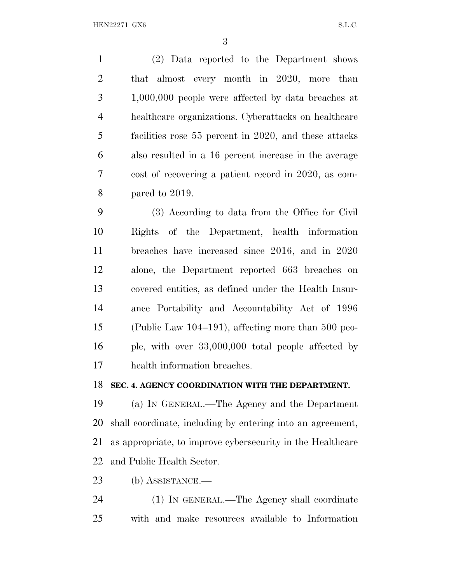(2) Data reported to the Department shows that almost every month in 2020, more than 1,000,000 people were affected by data breaches at healthcare organizations. Cyberattacks on healthcare facilities rose 55 percent in 2020, and these attacks also resulted in a 16 percent increase in the average cost of recovering a patient record in 2020, as com-pared to 2019.

 (3) According to data from the Office for Civil Rights of the Department, health information breaches have increased since 2016, and in 2020 alone, the Department reported 663 breaches on covered entities, as defined under the Health Insur- ance Portability and Accountability Act of 1996 (Public Law 104–191), affecting more than 500 peo- ple, with over 33,000,000 total people affected by health information breaches.

#### **SEC. 4. AGENCY COORDINATION WITH THE DEPARTMENT.**

 (a) I<sup>N</sup> GENERAL.—The Agency and the Department shall coordinate, including by entering into an agreement, as appropriate, to improve cybersecurity in the Healthcare and Public Health Sector.

(b) ASSISTANCE.—

 (1) IN GENERAL.—The Agency shall coordinate with and make resources available to Information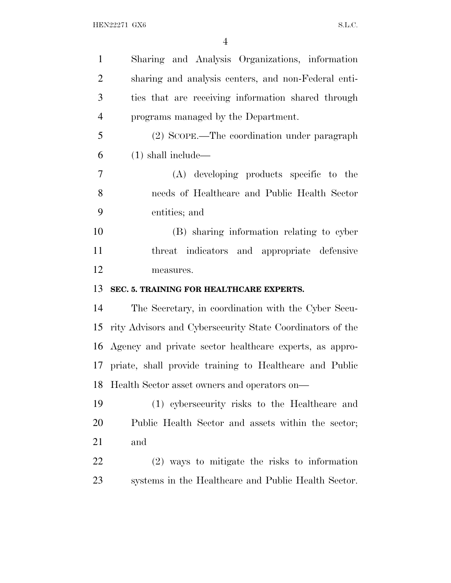| $\mathbf{1}$   | Sharing and Analysis Organizations, information            |
|----------------|------------------------------------------------------------|
| $\overline{2}$ | sharing and analysis centers, and non-Federal enti-        |
| 3              | ties that are receiving information shared through         |
| $\overline{4}$ | programs managed by the Department.                        |
| 5              | (2) SCOPE.—The coordination under paragraph                |
| 6              | $(1)$ shall include—                                       |
| 7              | (A) developing products specific to the                    |
| 8              | needs of Healthcare and Public Health Sector               |
| 9              | entities; and                                              |
| 10             | (B) sharing information relating to cyber                  |
| 11             | threat indicators and appropriate defensive                |
| 12             | measures.                                                  |
|                |                                                            |
| 13             | SEC. 5. TRAINING FOR HEALTHCARE EXPERTS.                   |
| 14             | The Secretary, in coordination with the Cyber Secu-        |
| 15             | rity Advisors and Cybersecurity State Coordinators of the  |
|                | 16 Agency and private sector healthcare experts, as appro- |
|                | 17 priate, shall provide training to Healthcare and Public |
| 18             | Health Sector asset owners and operators on—               |
| 19             | (1) cybersecurity risks to the Healthcare and              |
| 20             | Public Health Sector and assets within the sector;         |
| 21             | and                                                        |
| 22             | $(2)$ ways to mitigate the risks to information            |
| 23             | systems in the Healthcare and Public Health Sector.        |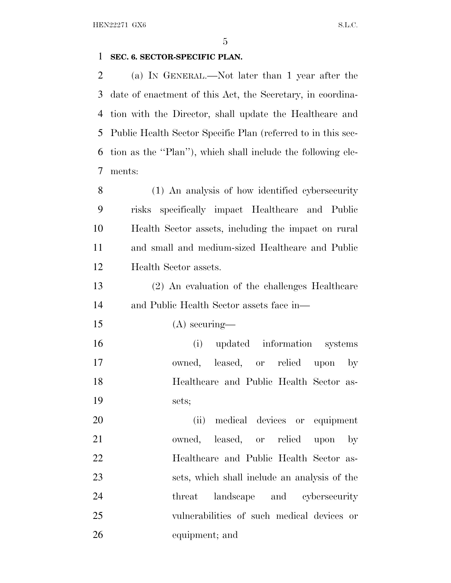#### **SEC. 6. SECTOR-SPECIFIC PLAN.**

 (a) I<sup>N</sup> GENERAL.—Not later than 1 year after the date of enactment of this Act, the Secretary, in coordina- tion with the Director, shall update the Healthcare and Public Health Sector Specific Plan (referred to in this sec- tion as the ''Plan''), which shall include the following ele-ments:

 (1) An analysis of how identified cybersecurity risks specifically impact Healthcare and Public Health Sector assets, including the impact on rural and small and medium-sized Healthcare and Public Health Sector assets.

 (2) An evaluation of the challenges Healthcare and Public Health Sector assets face in—

(A) securing—

 (i) updated information systems owned, leased, or relied upon by Healthcare and Public Health Sector as-sets;

 (ii) medical devices or equipment owned, leased, or relied upon by Healthcare and Public Health Sector as- sets, which shall include an analysis of the threat landscape and cybersecurity vulnerabilities of such medical devices or equipment; and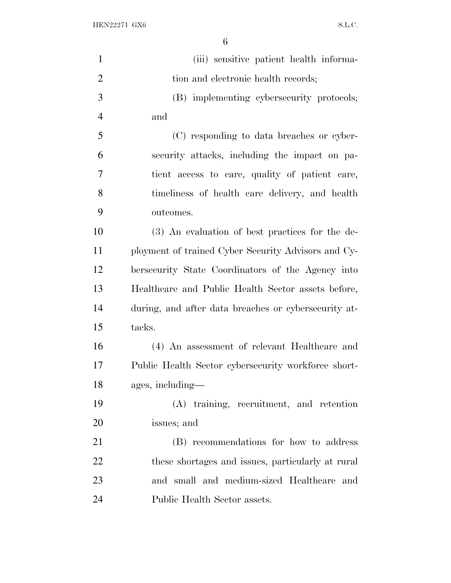| $\mathbf{1}$   | (iii) sensitive patient health informa-              |
|----------------|------------------------------------------------------|
| $\overline{2}$ | tion and electronic health records;                  |
| 3              | (B) implementing cybersecurity protocols;            |
| $\overline{4}$ | and                                                  |
| 5              | (C) responding to data breaches or cyber-            |
| 6              | security attacks, including the impact on pa-        |
| 7              | tient access to care, quality of patient care,       |
| 8              | timeliness of health care delivery, and health       |
| 9              | outcomes.                                            |
| 10             | (3) An evaluation of best practices for the de-      |
| 11             | ployment of trained Cyber Security Advisors and Cy-  |
| 12             | bersecurity State Coordinators of the Agency into    |
| 13             | Healthcare and Public Health Sector assets before,   |
| 14             | during, and after data breaches or cybersecurity at- |
| 15             | tacks.                                               |
| 16             | (4) An assessment of relevant Healthcare and         |
| 17             | Public Health Sector cybersecurity workforce short-  |
| 18             | ages, including-                                     |
| 19             | (A) training, recruitment, and retention             |
| 20             | issues; and                                          |
| 21             | (B) recommendations for how to address               |
| 22             | these shortages and issues, particularly at rural    |
| 23             | and small and medium-sized Healthcare<br>and         |
| 24             | Public Health Sector assets.                         |